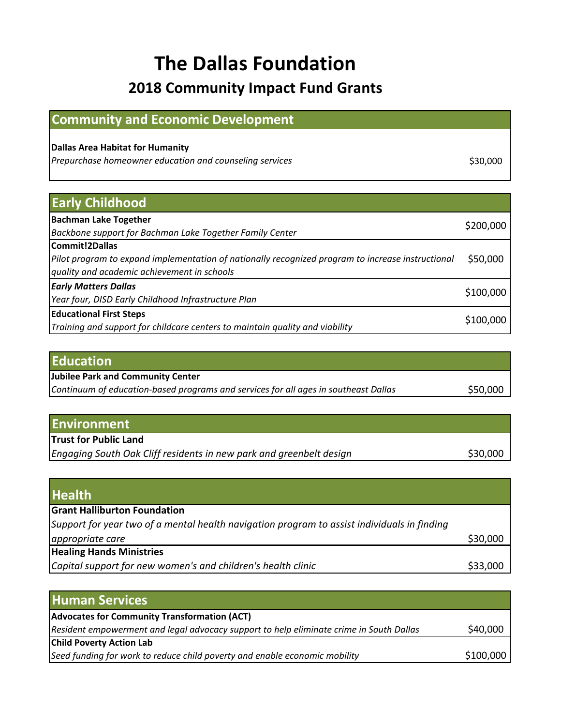## **The Dallas Foundation 2018 Community Impact Fund Grants**

## **Community and Economic Development**

## **Dallas Area Habitat for Humanity**

Prepurchase homeowner education and counseling services **\$30,000** \$30,000

**Early Childhood Bachman Lake Together** *Backbone support for Bachman Lake Together Family Center* \$200,000 **Commit!2Dallas** *Pilot program to expand implementation of nationally recognized program to increase instructional quality and academic achievement in schools* \$50,000 *Early Matters Dallas Year four, DISD Early Childhood Infrastructure Plan* \$100,000 **Educational First Steps** *Training and support for childcare centers to maintain quality and viability* \$100,000

| <b>Jubilee Park and Community Center</b>                                            |          |
|-------------------------------------------------------------------------------------|----------|
|                                                                                     |          |
| Continuum of education-based programs and services for all ages in southeast Dallas | \$50,000 |

| <b>Environment</b>                                                  |          |
|---------------------------------------------------------------------|----------|
| <b>Trust for Public Land</b>                                        |          |
| Engaging South Oak Cliff residents in new park and greenbelt design | \$30,000 |

| <b>Health</b>                                                                               |          |
|---------------------------------------------------------------------------------------------|----------|
| <b>Grant Halliburton Foundation</b>                                                         |          |
| Support for year two of a mental health navigation program to assist individuals in finding |          |
| appropriate care                                                                            | \$30,000 |
| <b>Healing Hands Ministries</b>                                                             |          |
| Capital support for new women's and children's health clinic                                | \$33,000 |

| <b>Human Services</b>                                                                   |           |
|-----------------------------------------------------------------------------------------|-----------|
| <b>Advocates for Community Transformation (ACT)</b>                                     |           |
| Resident empowerment and legal advocacy support to help eliminate crime in South Dallas | \$40,000  |
| <b>Child Poverty Action Lab</b>                                                         |           |
| Seed funding for work to reduce child poverty and enable economic mobility              | \$100,000 |